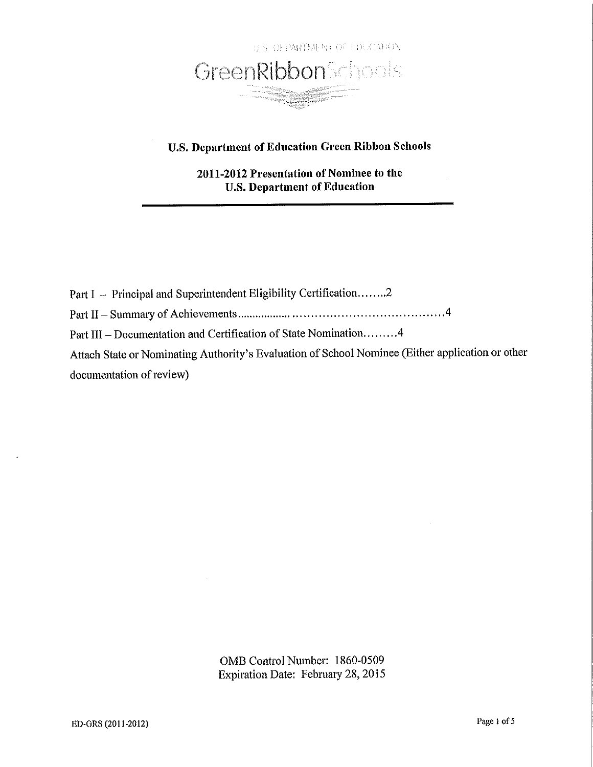

# **U.S. Department of Education Green Ribbon Schools**

2011-2012 Presentation of Nominee to the **U.S. Department of Education** 

Part I - Principal and Superintendent Eligibility Certification.......2 Part III - Documentation and Certification of State Nomination.........4 Attach State or Nominating Authority's Evaluation of School Nominee (Either application or other documentation of review)

> OMB Control Number: 1860-0509 Expiration Date: February 28, 2015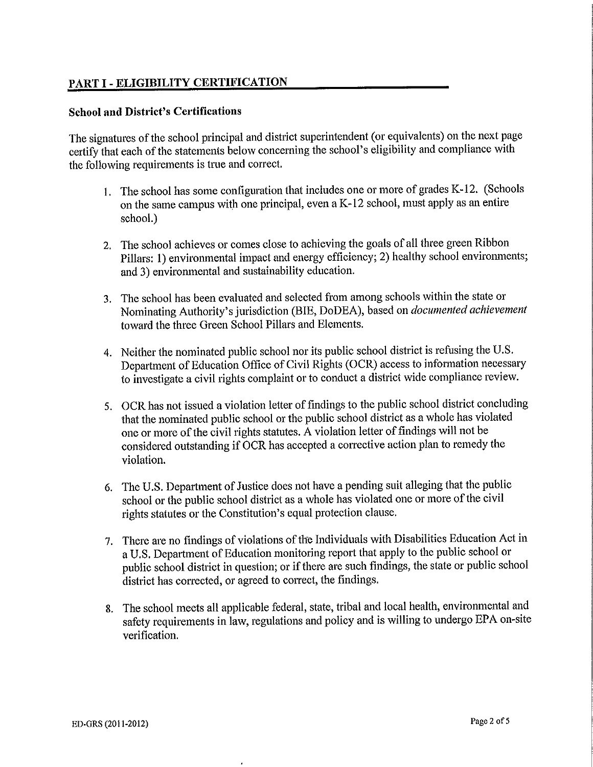# PART I - ELIGIBILITY CERTIFICATION

## **School and District's Certifications**

The signatures of the school principal and district superintendent (or equivalents) on the next page certify that each of the statements below concerning the school's eligibility and compliance with the following requirements is true and correct.

- 1. The school has some configuration that includes one or more of grades K-12. (Schools on the same campus with one principal, even a K-12 school, must apply as an entire school.)
- 2. The school achieves or comes close to achieving the goals of all three green Ribbon Pillars: 1) environmental impact and energy efficiency; 2) healthy school environments; and 3) environmental and sustainability education.
- 3. The school has been evaluated and selected from among schools within the state or Nominating Authority's jurisdiction (BIE, DoDEA), based on *documented achievement* toward the three Green School Pillars and Elements.
- 4. Neither the nominated public school nor its public school district is refusing the U.S. Department of Education Office of Civil Rights (OCR) access to information necessary to investigate a civil rights complaint or to conduct a district wide compliance review.
- 5. OCR has not issued a violation letter of findings to the public school district concluding that the nominated public school or the public school district as a whole has violated one or more of the civil rights statutes. A violation letter of findings will not be considered outstanding if OCR has accepted a corrective action plan to remedy the violation.
- 6. The U.S. Department of Justice does not have a pending suit alleging that the public school or the public school district as a whole has violated one or more of the civil rights statutes or the Constitution's equal protection clause.
- 7. There are no findings of violations of the Individuals with Disabilities Education Act in a U.S. Department of Education monitoring report that apply to the public school or public school district in question; or if there are such findings, the state or public school district has corrected, or agreed to correct, the findings.
- 8. The school meets all applicable federal, state, tribal and local health, environmental and safety requirements in law, regulations and policy and is willing to undergo EPA on-site verification.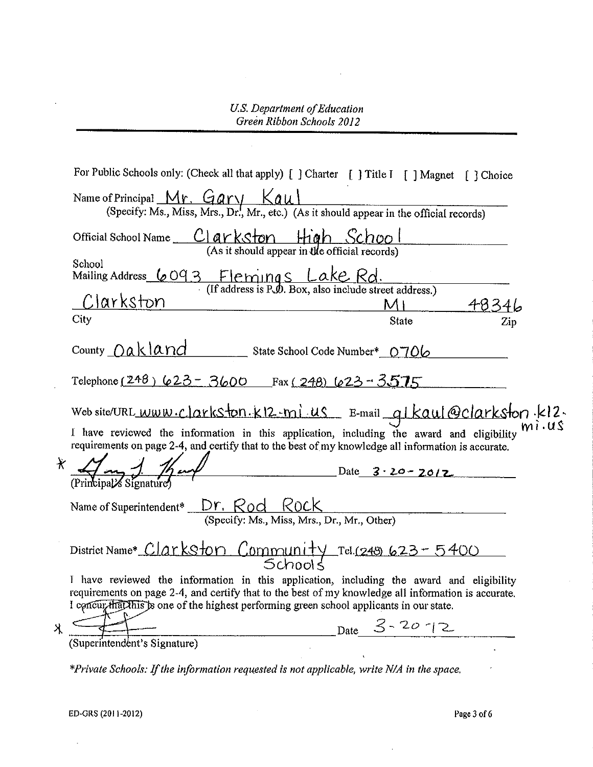|   | For Public Schools only: (Check all that apply) [ ] Charter [ ] Title I [ ] Magnet [ ] Choice                                                                                                                                                                                               |  |
|---|---------------------------------------------------------------------------------------------------------------------------------------------------------------------------------------------------------------------------------------------------------------------------------------------|--|
|   | Name of Principal $Mr$ . Gary $Kau$<br>(Specify: Ms., Miss, Mrs., Dr., Mr., etc.) (As it should appear in the official records)                                                                                                                                                             |  |
|   | Official School Name Clarkston High School<br>(As it should appear in the official records)                                                                                                                                                                                                 |  |
|   | School<br>Mailing Address $6093$ Flemings Lake Rd.<br>(If address is P.O. Box, also include street address.)                                                                                                                                                                                |  |
|   | Clarkston<br>$M_1$<br>4834                                                                                                                                                                                                                                                                  |  |
|   | City<br>State<br>$_{\mathrm{Zip}}$                                                                                                                                                                                                                                                          |  |
|   | County Oakland State School Code Number* 0706                                                                                                                                                                                                                                               |  |
|   | Telephone (248) 623 - 3600 Fax (248) 623 - 3575                                                                                                                                                                                                                                             |  |
|   | Web site/URL www.clarkston.kl2.mi us E-mail glkaul@clarkston.kl2.                                                                                                                                                                                                                           |  |
|   | I have reviewed the information in this application, including the award and eligibility<br>requirements on page 2-4, and certify that to the best of my knowledge all information is accurate.                                                                                             |  |
|   | Date $3 \cdot 20 - 20/2$                                                                                                                                                                                                                                                                    |  |
|   | Name of Superintendent* Dr. Rod Rock                                                                                                                                                                                                                                                        |  |
|   | (Specify: Ms., Miss, Mrs., Dr., Mr., Other)                                                                                                                                                                                                                                                 |  |
|   | District Name* Clarkston Community Tel.(249 623-5400                                                                                                                                                                                                                                        |  |
|   | I have reviewed the information in this application, including the award and eligibility<br>requirements on page 2-4, and certify that to the best of my knowledge all information is accurate.<br>I concurring this is one of the highest performing green school applicants in our state. |  |
| Х | Date $3 - 20 - 12$                                                                                                                                                                                                                                                                          |  |
|   | (Superintendent's Signature)                                                                                                                                                                                                                                                                |  |

\*Private Schools: If the information requested is not applicable, write N/A in the space.

 $\bar{\tau}$ 

Page 3 of 6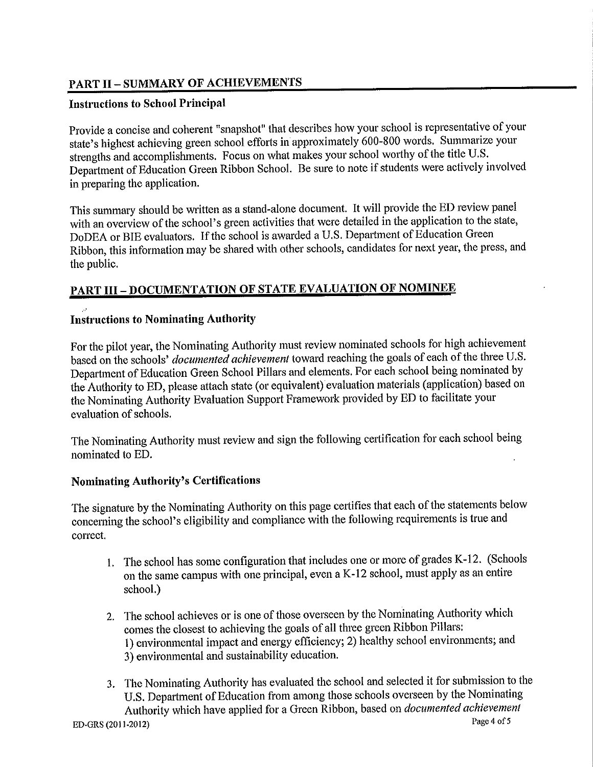# **PART II - SUMMARY OF ACHIEVEMENTS**

## **Instructions to School Principal**

Provide a concise and coherent "snapshot" that describes how your school is representative of your state's highest achieving green school efforts in approximately 600-800 words. Summarize your strengths and accomplishments. Focus on what makes your school worthy of the title U.S. Department of Education Green Ribbon School. Be sure to note if students were actively involved in preparing the application.

This summary should be written as a stand-alone document. It will provide the ED review panel with an overview of the school's green activities that were detailed in the application to the state, DoDEA or BIE evaluators. If the school is awarded a U.S. Department of Education Green Ribbon, this information may be shared with other schools, candidates for next year, the press, and the public.

# **PART III - DOCUMENTATION OF STATE EVALUATION OF NOMINEE**

# **Instructions to Nominating Authority**

For the pilot year, the Nominating Authority must review nominated schools for high achievement based on the schools' *documented achievement* toward reaching the goals of each of the three U.S. Department of Education Green School Pillars and elements. For each school being nominated by the Authority to ED, please attach state (or equivalent) evaluation materials (application) based on the Nominating Authority Evaluation Support Framework provided by ED to facilitate your evaluation of schools.

The Nominating Authority must review and sign the following certification for each school being nominated to ED.

# **Nominating Authority's Certifications**

The signature by the Nominating Authority on this page certifies that each of the statements below concerning the school's eligibility and compliance with the following requirements is true and correct.

- 1. The school has some configuration that includes one or more of grades K-12. (Schools on the same campus with one principal, even a K-12 school, must apply as an entire school.)
- 2. The school achieves or is one of those overseen by the Nominating Authority which comes the closest to achieving the goals of all three green Ribbon Pillars: 1) environmental impact and energy efficiency; 2) healthy school environments; and 3) environmental and sustainability education.
- 3. The Nominating Authority has evaluated the school and selected it for submission to the U.S. Department of Education from among those schools overseen by the Nominating Authority which have applied for a Green Ribbon, based on *documented achievement* Page 4 of 5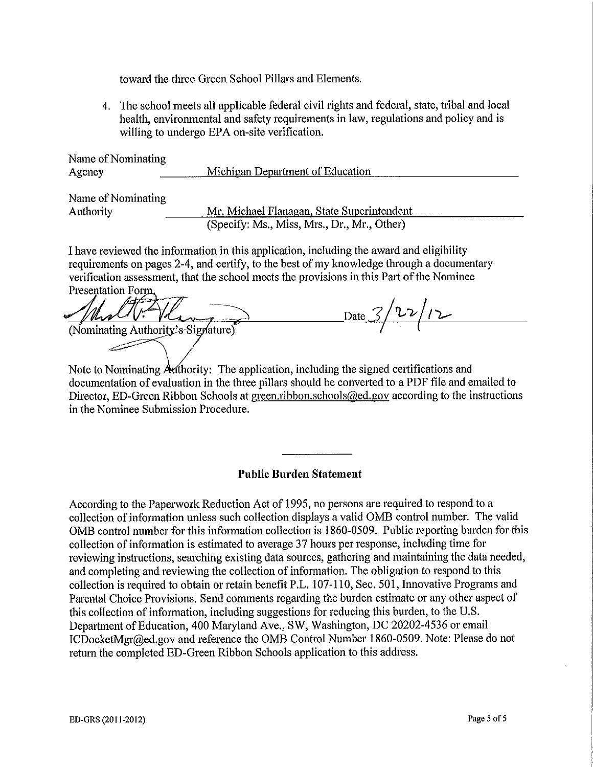toward the three Green School Pillars and Elements.

4. The school meets all applicable federal civil rights and federal, state, tribal and local health, environmental and safety requirements in law, regulations and policy and is willing to undergo EPA on-site verification.

| Name of Nominating |                                  |  |
|--------------------|----------------------------------|--|
| Agency             | Michigan Department of Education |  |
|                    |                                  |  |
| Name of Nominating |                                  |  |

Authority

Mr. Michael Flanagan, State Superintendent (Specify: Ms., Miss, Mrs., Dr., Mr., Other)

I have reviewed the information in this application, including the award and eligibility requirements on pages 2-4, and certify, to the best of my knowledge through a documentary verification assessment, that the school meets the provisions in this Part of the Nominee Presentation Form.

 $_{\text{Date}}$  3/22/12 (Nominating Authority's Signature)

Note to Nominating Authority: The application, including the signed certifications and documentation of evaluation in the three pillars should be converted to a PDF file and emailed to Director, ED-Green Ribbon Schools at green, ribbon, schools@ed.gov according to the instructions in the Nominee Submission Procedure.

## **Public Burden Statement**

According to the Paperwork Reduction Act of 1995, no persons are required to respond to a collection of information unless such collection displays a valid OMB control number. The valid OMB control number for this information collection is 1860-0509. Public reporting burden for this collection of information is estimated to average 37 hours per response, including time for reviewing instructions, searching existing data sources, gathering and maintaining the data needed, and completing and reviewing the collection of information. The obligation to respond to this collection is required to obtain or retain benefit P.L. 107-110, Sec. 501, Innovative Programs and Parental Choice Provisions. Send comments regarding the burden estimate or any other aspect of this collection of information, including suggestions for reducing this burden, to the U.S. Department of Education, 400 Maryland Ave., SW, Washington, DC 20202-4536 or email ICDocketMgr@ed.gov and reference the OMB Control Number 1860-0509. Note: Please do not return the completed ED-Green Ribbon Schools application to this address.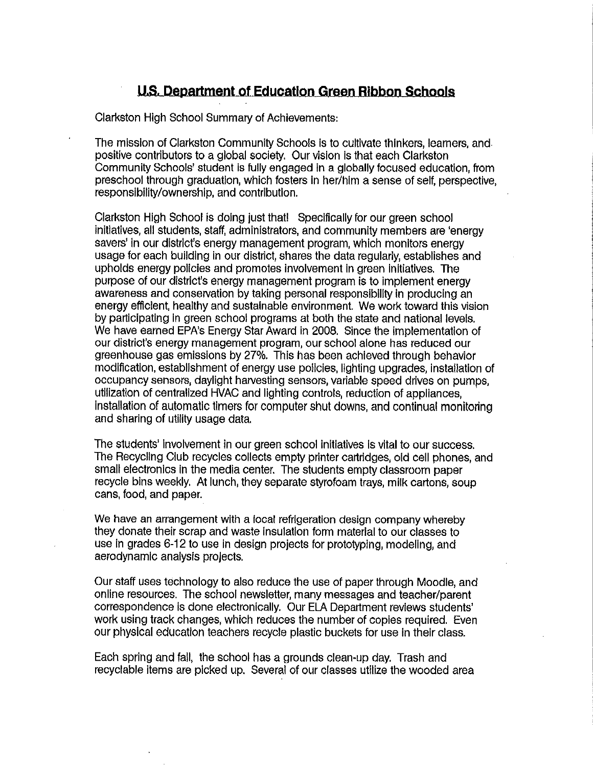# U.S. Department of Education Green Ribbon Schools

Clarkston High School Summary of Achievements:

The mission of Clarkston Community Schools is to cultivate thinkers, learners, and positive contributors to a global society. Our vision is that each Clarkston Community Schools' student is fully engaged in a globally focused education, from preschool through graduation, which fosters in her/him a sense of self, perspective. responsibility/ownership, and contribution.

Clarkston High School is doing just that! Specifically for our green school initiatives, all students, staff, administrators, and community members are 'energy savers' in our district's energy management program, which monitors energy usage for each building in our district, shares the data regularly, establishes and upholds energy policies and promotes involvement in green initiatives. The purpose of our district's energy management program is to implement energy awareness and conservation by taking personal responsibility in producing an energy efficient, healthy and sustainable environment. We work toward this vision by participating in green school programs at both the state and national levels. We have earned EPA's Energy Star Award in 2008. Since the implementation of our district's energy management program, our school alone has reduced our greenhouse gas emissions by 27%. This has been achieved through behavior modification, establishment of energy use policies, lighting upgrades, installation of occupancy sensors, daylight harvesting sensors, variable speed drives on pumps. utilization of centralized HVAC and lighting controls, reduction of appliances, Installation of automatic timers for computer shut downs, and continual monitoring and sharing of utility usage data,

The students' involvement in our green school initiatives is vital to our success. The Recycling Club recycles collects empty printer cartridges, old cell phones, and small electronics in the media center. The students empty classroom paper recycle bins weekly. At lunch, they separate styrofoam trays, milk cartons, soup cans, food, and paper.

We have an arrangement with a local refrigeration design company whereby they donate their scrap and waste insulation form material to our classes to use in grades 6-12 to use in design projects for prototyping, modeling, and aerodynamic analysis projects.

Our staff uses technology to also reduce the use of paper through Moodle, and online resources. The school newsletter, many messages and teacher/parent correspondence is done electronically. Our ELA Department reviews students' work using track changes, which reduces the number of copies required. Even our physical education teachers recycle plastic buckets for use in their class.

Each spring and fall, the school has a grounds clean-up day. Trash and recyclable items are picked up. Several of our classes utilize the wooded area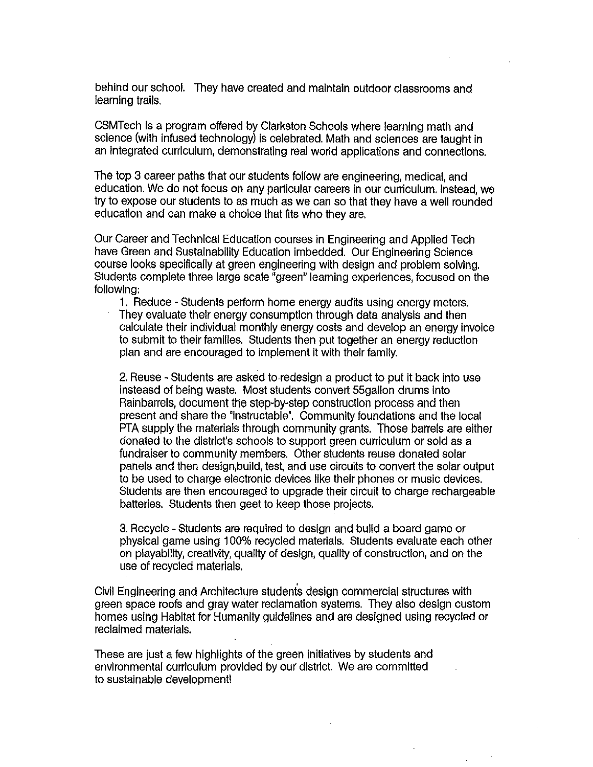behind our school. They have created and maintain outdoor classrooms and learning trails.

CSMTech is a program offered by Clarkston Schools where learning math and science (with infused technology) is celebrated. Math and sciences are taught in an integrated curriculum, demonstrating real world applications and connections.

The top 3 career paths that our students follow are engineering, medical, and education. We do not focus on any particular careers in our curriculum, instead, we try to expose our students to as much as we can so that they have a well rounded education and can make a choice that fits who they are.

Our Career and Technical Education courses in Engineering and Applied Tech have Green and Sustainability Education imbedded. Our Engineering Science course looks specifically at green engineering with design and problem solving. Students complete three large scale "green" learning experiences, focused on the following:

1. Reduce - Students perform home energy audits using energy meters. They evaluate their energy consumption through data analysis and then calculate their individual monthly energy costs and develop an energy invoice to submit to their families. Students then put together an energy reduction plan and are encouraged to implement it with their family.

2. Reuse - Students are asked to redesign a product to put it back into use insteasd of being waste. Most students convert 55 gallon drums into Rainbarrels, document the step-by-step construction process and then present and share the "instructable". Community foundations and the local PTA supply the materials through community grants. Those barrels are either donated to the district's schools to support green curriculum or sold as a fundraiser to community members. Other students reuse donated solar panels and then design, build, test, and use circuits to convert the solar output to be used to charge electronic devices like their phones or music devices. Students are then encouraged to upgrade their circuit to charge rechargeable batteries. Students then geet to keep those projects.

3. Recycle - Students are required to design and build a board game or physical game using 100% recycled materials. Students evaluate each other on playability, creativity, quality of design, quality of construction, and on the use of recycled materials.

Civil Engineering and Architecture students design commercial structures with green space roofs and gray water reclamation systems. They also design custom homes using Habitat for Humanity guidelines and are designed using recycled or reclaimed materials.

These are just a few highlights of the green initiatives by students and environmental curriculum provided by our district. We are committed to sustainable development!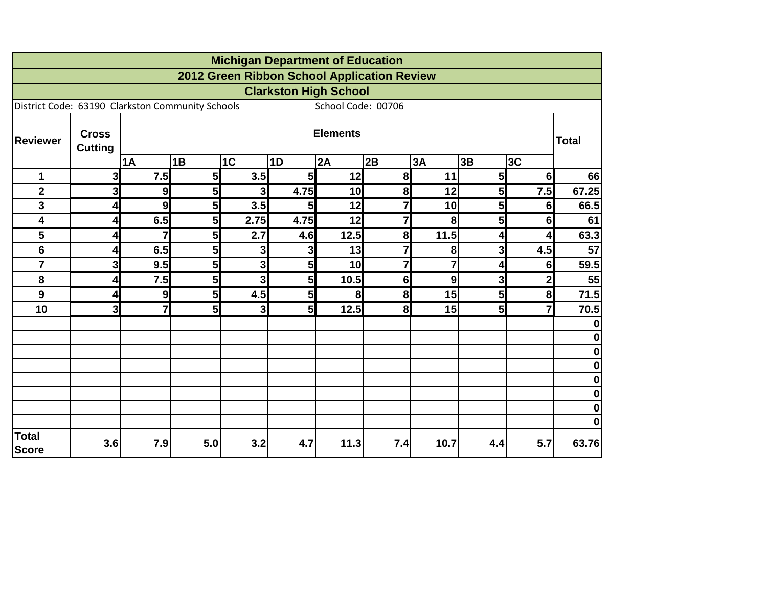|                                                  |                                |                         |                |                     | <b>Michigan Department of Education</b> |                    |                                             |         |                     |                                  |                         |
|--------------------------------------------------|--------------------------------|-------------------------|----------------|---------------------|-----------------------------------------|--------------------|---------------------------------------------|---------|---------------------|----------------------------------|-------------------------|
|                                                  |                                |                         |                |                     |                                         |                    | 2012 Green Ribbon School Application Review |         |                     |                                  |                         |
|                                                  |                                |                         |                |                     | <b>Clarkston High School</b>            |                    |                                             |         |                     |                                  |                         |
| District Code: 63190 Clarkston Community Schools |                                |                         |                |                     |                                         | School Code: 00706 |                                             |         |                     |                                  |                         |
| <b>Reviewer</b>                                  | <b>Cross</b><br><b>Cutting</b> | <b>Elements</b>         |                |                     |                                         |                    |                                             |         | <b>Total</b>        |                                  |                         |
|                                                  |                                | 1A                      | 1B             | 1 <sub>C</sub>      | 1D                                      | 2A                 | 2B                                          | 3A      | 3B                  | 3C                               |                         |
| 1                                                | 3                              | 7.5                     | 5              | 3.5                 | 5 <sup>1</sup>                          | 12                 | 8                                           | 11      | 5 <sup>1</sup>      | 6 <sup>1</sup>                   | 66                      |
| $\overline{\mathbf{2}}$                          | 3 <sup>l</sup>                 | $\boldsymbol{9}$        | 5              | 3 <sup>l</sup>      | 4.75                                    | 10                 | 8 <sup>1</sup><br>$\overline{7}$            | 12      | 5 <sub>l</sub>      | 7.5                              | 67.25                   |
| 3                                                | 4                              | 9                       | 5              | 3.5                 | 5 <sub>l</sub><br>4.75                  | 12                 | $\overline{7}$                              | 10      | 5 <sup>1</sup>      | 6 <sup>1</sup>                   | 66.5                    |
| 4                                                | 4                              | 6.5<br>$\overline{7}$   | 5 <sup>1</sup> | 2.75                |                                         | 12                 |                                             | 8       | 5 <sup>1</sup>      | 6 <sup>1</sup>                   | 61                      |
| 5                                                | 4                              |                         | 5              | 2.7                 | 4.6                                     | 12.5               | 8<br>$\overline{7}$                         | 11.5    | 4                   | 4                                | 63.3                    |
| 6                                                | 4                              | 6.5                     | 5              | 3                   | 3                                       | 13                 |                                             | 8       | 3                   | 4.5                              | 57                      |
| $\overline{7}$<br>8                              | 3                              | 9.5                     | 5              | 3 <sup>1</sup><br>3 | 5 <sub>l</sub><br>5                     | 10                 | $\overline{7}$<br>6 <sup>1</sup>            | 7       | 4<br>3 <sup>1</sup> | 6 <sup>1</sup>                   | 59.5<br>55              |
| 9                                                | 4<br>4                         | 7.5<br>$\boldsymbol{9}$ | 5<br>5         | 4.5                 | 5 <sub>l</sub>                          | 10.5<br>8          | 8 <sup>1</sup>                              | 9<br>15 | 5 <sub>l</sub>      | 2 <sup>1</sup><br>8 <sup>1</sup> | 71.5                    |
| 10                                               | 3                              | $\overline{7}$          | 5 <sub>l</sub> | 3 <sup>1</sup>      | 5 <sub>l</sub>                          | 12.5               | 8                                           | 15      | 5 <sup>1</sup>      | $\overline{7}$                   |                         |
|                                                  |                                |                         |                |                     |                                         |                    |                                             |         |                     |                                  | 70.5<br>$\bf{0}$        |
|                                                  |                                |                         |                |                     |                                         |                    |                                             |         |                     |                                  | $\boldsymbol{0}$        |
|                                                  |                                |                         |                |                     |                                         |                    |                                             |         |                     |                                  | $\pmb{0}$               |
|                                                  |                                |                         |                |                     |                                         |                    |                                             |         |                     |                                  | $\bf{0}$                |
|                                                  |                                |                         |                |                     |                                         |                    |                                             |         |                     |                                  | $\overline{\mathbf{0}}$ |
|                                                  |                                |                         |                |                     |                                         |                    |                                             |         |                     |                                  | $\pmb{0}$               |
|                                                  |                                |                         |                |                     |                                         |                    |                                             |         |                     |                                  | $\bf{0}$                |
|                                                  |                                |                         |                |                     |                                         |                    |                                             |         |                     |                                  | $\mathbf 0$             |
| <b>Total</b><br><b>Score</b>                     | 3.6                            | 7.9                     | 5.0            | 3.2                 | 4.7                                     | 11.3               | 7.4                                         | 10.7    | 4.4                 | 5.7                              | 63.76                   |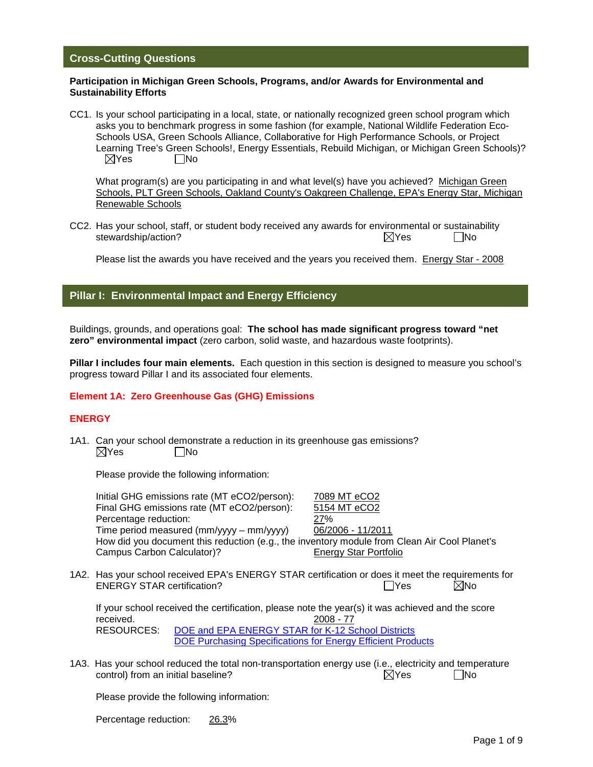#### **Cross-Cutting Questions**

#### **Participation in Michigan Green Schools, Programs, and/or Awards for Environmental and Sustainability Efforts**

CC1. Is your school participating in a local, state, or nationally recognized green school program which asks you to benchmark progress in some fashion (for example, National Wildlife Federation Eco-Schools USA, Green Schools Alliance, Collaborative for High Performance Schools, or Project Learning Tree's Green Schools!, Energy Essentials, Rebuild Michigan, or Michigan Green Schools)?  $\boxtimes$ Yes  $\Box$ No

What program(s) are you participating in and what level(s) have you achieved? Michigan Green Schools, PLT Green Schools, Oakland County's Oakgreen Challenge, EPA's Energy Star, Michigan Renewable Schools

CC2. Has your school, staff, or student body received any awards for environmental or sustainability stewardship/action? No analysis of the No and Security of the No and Security of the No and Security of the No

Please list the awards you have received and the years you received them. Energy Star - 2008

## **Pillar I: Environmental Impact and Energy Efficiency**

Buildings, grounds, and operations goal: **The school has made significant progress toward "net zero" environmental impact** (zero carbon, solid waste, and hazardous waste footprints).

**Pillar I includes four main elements.** Each question in this section is designed to measure you school's progress toward Pillar I and its associated four elements.

#### **Element 1A: Zero Greenhouse Gas (GHG) Emissions**

#### **ENERGY**

1A1. Can your school demonstrate a reduction in its greenhouse gas emissions?  $\boxtimes$ Yes No

Please provide the following information:

| Initial GHG emissions rate (MT eCO2/person):                                                                                                                                     | 7089 MT eCO2                 |
|----------------------------------------------------------------------------------------------------------------------------------------------------------------------------------|------------------------------|
| Final GHG emissions rate (MT eCO2/person):                                                                                                                                       | 5154 MT eCO2                 |
| Percentage reduction:                                                                                                                                                            | 27%                          |
| Time period measured (mm/yyyy – mm/yyyy)                                                                                                                                         | 06/2006 - 11/2011            |
| How did you document this reduction (e.g., the inventory module from Clean Air Cool Planet's                                                                                     |                              |
| Campus Carbon Calculator)?                                                                                                                                                       | <b>Energy Star Portfolio</b> |
| 1A2. Has your school received EPA's ENERGY STAR certification or does it meet the requirements for<br><b>ENERGY STAR certification?</b>                                          | $\boxtimes$ No<br>- IYes     |
| If your school received the certification, please note the year(s) it was achieved and the score<br>received.<br>$\cdots$ = $\cdots$ = $\cdots$ = $\cdots$ = $\cdots$ = $\cdots$ | 2008 - 77                    |

RESOURCES: [DOE and EPA ENERGY STAR for K-12 School Districts](http://www.energystar.gov/index.cfm?c=k12_schools.bus_schoolsk12) [DOE Purchasing Specifications for Energy Efficient Products](http://www1.eere.energy.gov/femp/technologies/eep_purchasingspecs.html)

1A3. Has your school reduced the total non-transportation energy use (i.e., electricity and temperature control) from an initial baseline?  $\Box$  Yes  $\Box$  No

Please provide the following information:

Percentage reduction: 26.3%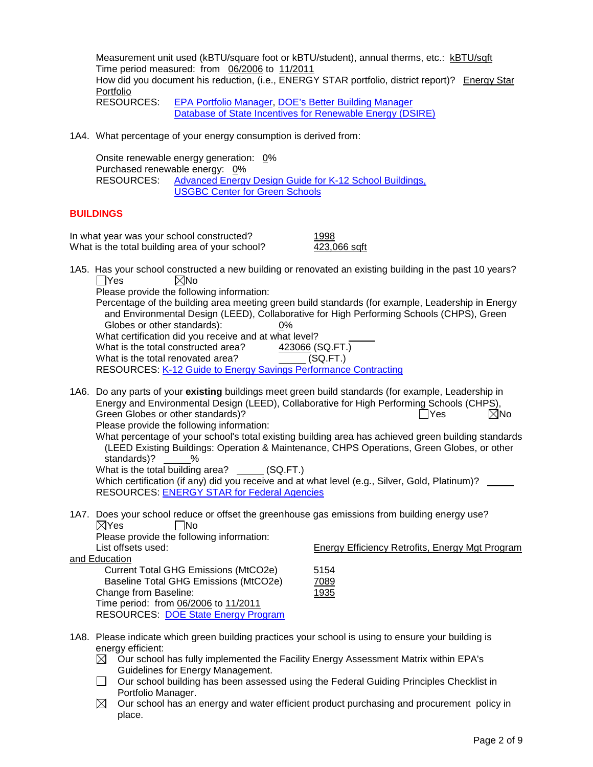Measurement unit used (kBTU/square foot or kBTU/student), annual therms, etc.: kBTU/sqft Time period measured: from 06/2006 to 11/2011 How did you document his reduction, (i.e., ENERGY STAR portfolio, district report)? Energy Star Portfolio RESOURCES: [EPA Portfolio Manager,](http://www.energystar.gov/index.cfm?c=evaluate_performance.bus_portfoliomanager) DOE's Better Building Manager

Database of [State Incentives for Renewable Energy \(DSIRE\)](http://www.dsireusa.org/) 

1A4. What percentage of your energy consumption is derived from:

Onsite renewable energy generation: 0% Purchased renewable energy: 0% RESOURCES: [Advanced Energy Design Guide for K-12 School Buildings,](http://apps1.eere.energy.gov/buildings/commercial_initiative/resource_database/detail.cfm?p=203) [USGBC Center for Green Schools](http://www.centerforgreenschools.org/guides.aspx)

#### **BUILDINGS**

| In what year was your school constructed?       | 1998         |
|-------------------------------------------------|--------------|
| What is the total building area of your school? | 423,066 sqft |

1A5. Has your school constructed a new building or renovated an existing building in the past 10 years?  $\Box$ Yes  $\boxtimes$ No

Please provide the following information:

Percentage of the building area meeting green build standards (for example, Leadership in Energy and Environmental Design (LEED), Collaborative for High Performing Schools (CHPS), Green Globes or other standards): 0% What certification did you receive and at what level? What is the total constructed area? 423066 (SQ.FT.) What is the total renovated area? (SQ.FT.)

RESOURCES: [K-12 Guide to Energy Savings Performance Contracting](http://www1.eere.energy.gov/femp/technologies/eep_purchasingspecs.html)

1A6. Do any parts of your **existing** buildings meet green build standards (for example, Leadership in Energy and Environmental Design (LEED), Collaborative for High Performing Schools (CHPS), Green Globes or other standards)?  $\Box$  Yes  $\Box$  No Please provide the following information:

What percentage of your school's total existing building area has achieved green building standards (LEED Existing Buildings: Operation & Maintenance, CHPS Operations, Green Globes, or other standards)? %

What is the total building area? \_\_\_\_\_ (SQ.FT.) Which certification (if any) did you receive and at what level (e.g., Silver, Gold, Platinum)? RESOURCES: [ENERGY STAR for Federal Agencies](http://www.energystar.gov/index.cfm?c=government.federal_agencies)

1A7. Does your school reduce or offset the greenhouse gas emissions from building energy use?  $\boxtimes$ Yes  $\Box$ No

Please provide the following information: List offsets used: Energy Efficiency Retrofits, Energy Mgt Program

and Education

Current Total GHG Emissions (MtCO2e) 51545 Baseline Total GHG Emissions (MtCO2e) 7 Change from Baseline: Time period: from 06/2006 to 11/2011 RESOURCES: [DOE State Energy Program](http://www1.eere.energy.gov/wip/sep.html)

| 5154 |  |
|------|--|
| 7089 |  |
| 1935 |  |
|      |  |

- 1A8. Please indicate which green building practices your school is using to ensure your building is energy efficient:
	- $\boxtimes$  Our school has fully implemented the Facility Energy Assessment Matrix within EPA's Guidelines for Energy Management.
	- $\Box$  Our school building has been assessed using the Federal Guiding Principles Checklist in Portfolio Manager.
	- $\boxtimes$  Our school has an energy and water efficient product purchasing and procurement policy in place.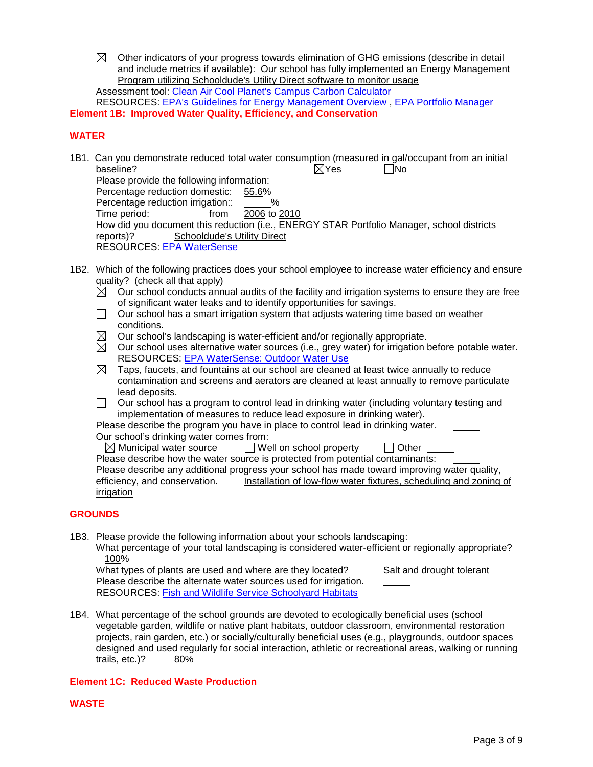$\boxtimes$  Other indicators of your progress towards elimination of GHG emissions (describe in detail and include metrics if available): Our school has fully implemented an Energy Management Program utilizing Schooldude's Utility Direct software to monitor usage Assessment tool: [Clean Air Cool Planet's Campus Carbon Calculator](http://www.cleanair-coolplanet.org/toolkit/inv-calculator.php)

RESOURCES: [EPA's Guidelines for Energy Management Overview ,](http://www.energystar.gov/index.cfm?c=guidelines.guidelines_index) [EPA Portfolio Manager](http://www.energystar.gov/index.cfm?c=evaluate_performance.bus_portfoliomanager) **Element 1B: Improved Water Quality, Efficiency, and Conservation**

## **WATER**

- 1B1. Can you demonstrate reduced total water consumption (measured in gal/occupant from an initial baseline?  $\boxtimes$  Yes  $\Box$  No Please provide the following information: Percentage reduction domestic: 55.6% Percentage reduction irrigation:: \_\_\_\_\_%<br>Time period: trom 2006 to 2010 Time period: from How did you document this reduction (i.e., ENERGY STAR Portfolio Manager, school districts reports)? Schooldude's Utility Direct RESOURCES: [EPA WaterSense](http://www.epa.gov/WaterSense/)
- 1B2. Which of the following practices does your school employee to increase water efficiency and ensure quality? (check all that apply)
	- $\boxtimes$  Our school conducts annual audits of the facility and irrigation systems to ensure they are free of significant water leaks and to identify opportunities for savings.
	- $\Box$  Our school has a smart irrigation system that adjusts watering time based on weather conditions.
	- $\boxtimes$  Our school's landscaping is water-efficient and/or regionally appropriate.
	- $\overline{\boxtimes}$  Our school uses alternative water sources (i.e., grey water) for irrigation before potable water. RESOURCES: [EPA WaterSense: Outdoor Water Use](http://www.epa.gov/WaterSense/pubs/outdoor.html)
	- $\boxtimes$  Taps, faucets, and fountains at our school are cleaned at least twice annually to reduce contamination and screens and aerators are cleaned at least annually to remove particulate lead deposits.
	- $\Box$  Our school has a program to control lead in drinking water (including voluntary testing and implementation of measures to reduce lead exposure in drinking water).

Please describe the program you have in place to control lead in drinking water. Our school's drinking water comes from:

 $\boxtimes$  Municipal water source  $\qquad \Box$  Well on school property  $\qquad \Box$  Other Please describe how the water source is protected from potential contaminants: Please describe any additional progress your school has made toward improving water quality, efficiency, and conservation. Installation of low-flow water fixtures, scheduling and zoning of **irrigation** 

## **GROUNDS**

1B3. Please provide the following information about your schools landscaping:

What percentage of your total landscaping is considered water-efficient or regionally appropriate? 100%

What types of plants are used and where are they located? Salt and drought tolerant Please describe the alternate water sources used for irrigation. RESOURCES: [Fish and Wildlife Service Schoolyard Habitats](http://www.fws.gov/chesapeakebay/schoolyd.htm)

1B4. What percentage of the school grounds are devoted to ecologically beneficial uses (school vegetable garden, wildlife or native plant habitats, outdoor classroom, environmental restoration projects, rain garden, etc.) or socially/culturally beneficial uses (e.g., playgrounds, outdoor spaces designed and used regularly for social interaction, athletic or recreational areas, walking or running trails, etc.)? 80%

## **Element 1C: Reduced Waste Production**

## **WASTE**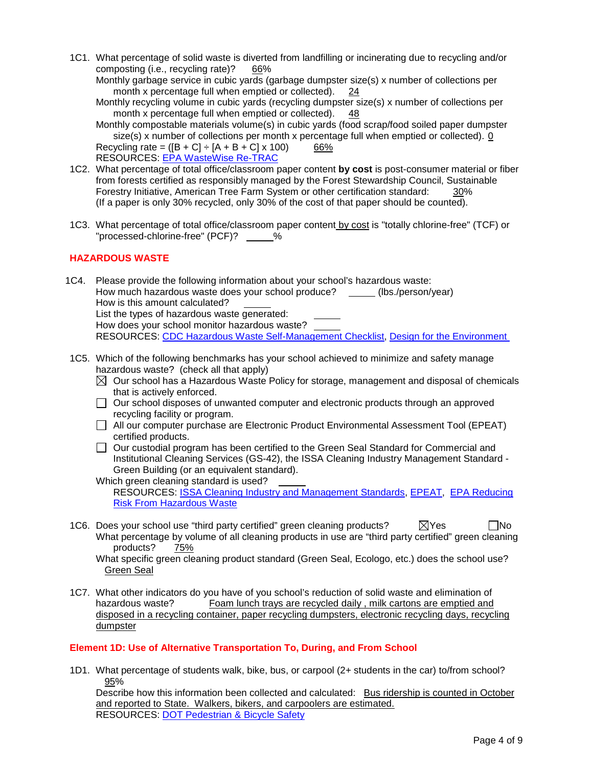1C1. What percentage of solid waste is diverted from landfilling or incinerating due to recycling and/or composting (i.e., recycling rate)? 66%

Monthly garbage service in cubic yards (garbage dumpster size(s) x number of collections per month x percentage full when emptied or collected). 24

Monthly recycling volume in cubic yards (recycling dumpster size(s) x number of collections per month x percentage full when emptied or collected). 48

Monthly compostable materials volume(s) in cubic yards (food scrap/food soiled paper dumpster size(s) x number of collections per month x percentage full when emptied or collected). 0 Recycling rate =  $([B + C] \div [A + B + C] \times 100)$  66% RESOURCES: [EPA WasteWise Re-TRAC](http://www.epa.gov/epawaste/partnerships/wastewise/retrac.htm)

- 1C2. What percentage of total office/classroom paper content **by cost** is post-consumer material or fiber from forests certified as responsibly managed by the Forest Stewardship Council, Sustainable Forestry Initiative, American Tree Farm System or other certification standard: 30% (If a paper is only 30% recycled, only 30% of the cost of that paper should be counted).
- 1C3. What percentage of total office/classroom paper content by cost is "totally chlorine-free" (TCF) or "processed-chlorine-free" (PCF)? %

## **HAZARDOUS WASTE**

1C4. Please provide the following information about your school's hazardous waste: How much hazardous waste does your school produce? \_\_\_\_\_(lbs./person/year) How is this amount calculated? List the types of hazardous waste generated: How does your school monitor hazardous waste? RESOURCES: [CDC Hazardous Waste Self-Management Checklist,](http://www.cdc.gov/niosh/docs/2004-101/chklists/n41was~1.htm) [Design for the Environment](http://www.epa.gov/dfe/) 

1C5. Which of the following benchmarks has your school achieved to minimize and safety manage hazardous waste? (check all that apply)

 $\boxtimes$  Our school has a Hazardous Waste Policy for storage, management and disposal of chemicals that is actively enforced.

- Our school disposes of unwanted computer and electronic products through an approved recycling facility or program.
- All our computer purchase are Electronic Product Environmental Assessment Tool (EPEAT) certified products.
- $\Box$  Our custodial program has been certified to the Green Seal Standard for Commercial and Institutional Cleaning Services (GS-42), the ISSA Cleaning Industry Management Standard - Green Building (or an equivalent standard).

Which green cleaning standard is used?

RESOURCES: [ISSA Cleaning Industry and Management Standards,](http://www.issa.com/cims) [EPEAT,](http://www.epeat.net/who-are-you/purchaser/governmentinstitutional/) [EPA Reducing](http://www.epa.gov/epaoswer/general/risk/risk-1.pdf)  [Risk From Hazardous Waste](http://www.epa.gov/epaoswer/general/risk/risk-1.pdf)

1C6. Does your school use "third party certified" green cleaning products?  $\boxtimes$  Yes  $\Box$  No What percentage by volume of all cleaning products in use are "third party certified" green cleaning products? 75%

What specific green cleaning product standard (Green Seal, Ecologo, etc.) does the school use? Green Seal

1C7. What other indicators do you have of you school's reduction of solid waste and elimination of hazardous waste? Foam lunch trays are recycled daily, milk cartons are emptied and disposed in a recycling container, paper recycling dumpsters, electronic recycling days, recycling dumpster

## **Element 1D: Use of Alternative Transportation To, During, and From School**

1D1. What percentage of students walk, bike, bus, or carpool (2+ students in the car) to/from school? 95%

Describe how this information been collected and calculated: Bus ridership is counted in October and reported to State. Walkers, bikers, and carpoolers are estimated. RESOURCES: [DOT Pedestrian & Bicycle Safety](http://safety.fhwa.dot.gov/ped_bike)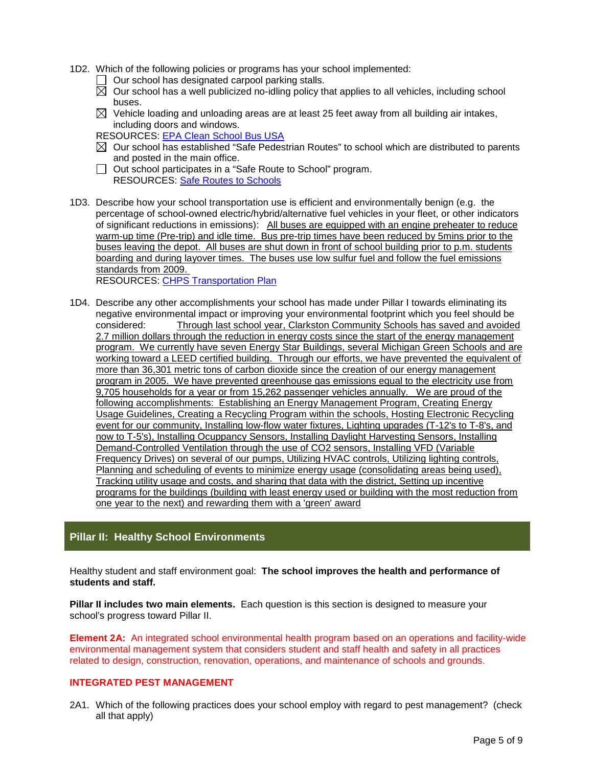- 1D2. Which of the following policies or programs has your school implemented:
	- $\Box$  Our school has designated carpool parking stalls.
	- $\boxtimes$  Our school has a well publicized no-idling policy that applies to all vehicles, including school buses.
	- $\boxtimes$  Vehicle loading and unloading areas are at least 25 feet away from all building air intakes, including doors and windows.
	- RESOURCES: [EPA Clean School Bus USA](http://epa.gov/cleanschoolbus/index.htm)
	- $\boxtimes$  Our school has established "Safe Pedestrian Routes" to school which are distributed to parents and posted in the main office.
	- □ Out school participates in a "Safe Route to School" program. RESOURCES: [Safe Routes to Schools](http://www.saferoutesinfo.org/)
- 1D3. Describe how your school transportation use is efficient and environmentally benign (e.g. the percentage of school-owned electric/hybrid/alternative fuel vehicles in your fleet, or other indicators of significant reductions in emissions): All buses are equipped with an engine preheater to reduce warm-up time (Pre-trip) and idle time. Bus pre-trip times have been reduced by 5mins prior to the buses leaving the depot. All buses are shut down in front of school building prior to p.m. students boarding and during layover times. The buses use low sulfur fuel and follow the fuel emissions standards from 2009.

RESOURCES: [CHPS Transportation Plan](http://www.chps.net/dev/Drupal/node/516)

1D4. Describe any other accomplishments your school has made under Pillar I towards eliminating its negative environmental impact or improving your environmental footprint which you feel should be<br>considered: Through last school year. Clarkston Community Schools has saved and avoided Through last school year, Clarkston Community Schools has saved and avoided 2.7 million dollars through the reduction in energy costs since the start of the energy management program. We currently have seven Energy Star Buildings, several Michigan Green Schools and are working toward a LEED certified building. Through our efforts, we have prevented the equivalent of more than 36,301 metric tons of carbon dioxide since the creation of our energy management program in 2005. We have prevented greenhouse gas emissions equal to the electricity use from 9,705 households for a year or from 15,262 passenger vehicles annually. We are proud of the following accomplishments: Establishing an Energy Management Program, Creating Energy Usage Guidelines, Creating a Recycling Program within the schools, Hosting Electronic Recycling event for our community, Installing low-flow water fixtures, Lighting upgrades (T-12's to T-8's, and now to T-5's), Installing Ocuppancy Sensors, Installing Daylight Harvesting Sensors, Installing Demand-Controlled Ventilation through the use of CO2 sensors, Installing VFD (Variable Frequency Drives) on several of our pumps, Utilizing HVAC controls, Utilizing lighting controls, Planning and scheduling of events to minimize energy usage (consolidating areas being used), Tracking utility usage and costs, and sharing that data with the district, Setting up incentive programs for the buildings (building with least energy used or building with the most reduction from one year to the next) and rewarding them with a 'green' award

# **Pillar II: Healthy School Environments**

Healthy student and staff environment goal: **The school improves the health and performance of students and staff.**

**Pillar II includes two main elements.** Each question is this section is designed to measure your school's progress toward Pillar II.

**Element 2A:** An integrated school environmental health program based on an operations and facility-wide environmental management system that considers student and staff health and safety in all practices related to design, construction, renovation, operations, and maintenance of schools and grounds.

## **INTEGRATED PEST MANAGEMENT**

2A1. Which of the following practices does your school employ with regard to pest management? (check all that apply)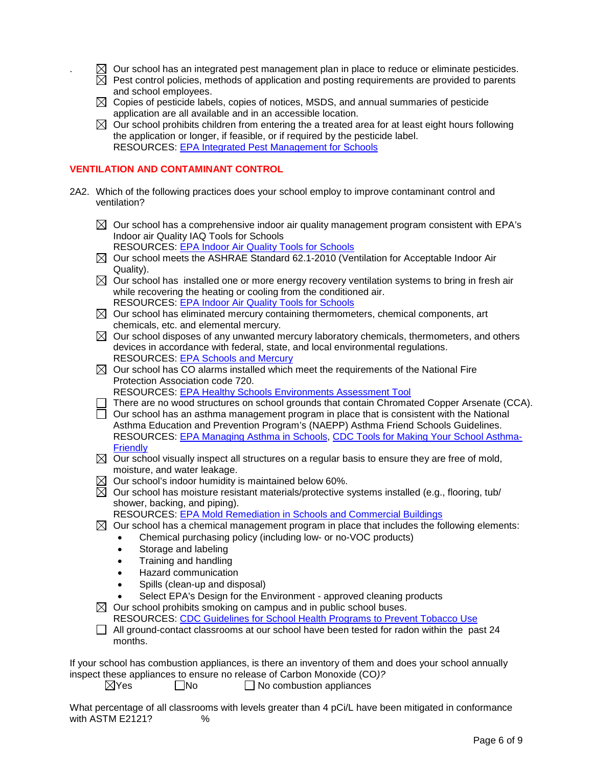- $\boxtimes$  Our school has an integrated pest management plan in place to reduce or eliminate pesticides.
- $\boxtimes$  Pest control policies, methods of application and posting requirements are provided to parents and school employees.
- $\boxtimes$  Copies of pesticide labels, copies of notices, MSDS, and annual summaries of pesticide application are all available and in an accessible location.
- $\boxtimes$  Our school prohibits children from entering the a treated area for at least eight hours following the application or longer, if feasible, or if required by the pesticide label. RESOURCES: [EPA Integrated Pest Management for Schools](http://www.epa.gov/pesticides/ipm/index.htm)

#### **VENTILATION AND CONTAMINANT CONTROL**

- 2A2. Which of the following practices does your school employ to improve contaminant control and ventilation?
	- $\boxtimes$  Our school has a comprehensive indoor air quality management program consistent with EPA's Indoor air Quality IAQ Tools for Schools
		- RESOURCES: [EPA Indoor Air Quality Tools for Schools](http://www.epa.gov/iaq/schools/index.html)
	- $\boxtimes$  Our school meets the ASHRAE Standard 62.1-2010 (Ventilation for Acceptable Indoor Air Quality).
	- $\boxtimes$  Our school has installed one or more energy recovery ventilation systems to bring in fresh air while recovering the heating or cooling from the conditioned air. RESOURCES: [EPA Indoor Air Quality Tools for Schools](http://www.epa.gov/iaq/schools/index.html)
	- $\boxtimes$  Our school has eliminated mercury containing thermometers, chemical components, art chemicals, etc. and elemental mercury.
	- $\boxtimes$  Our school disposes of any unwanted mercury laboratory chemicals, thermometers, and others devices in accordance with federal, state, and local environmental regulations. RESOURCES: [EPA Schools and Mercury](http://www.epa.gov/mercury/schools.htm)
	- $\boxtimes$  Our school has CO alarms installed which meet the requirements of the National Fire Protection Association code 720.
		- RESOURCES: [EPA Healthy Schools Environments Assessment Tool](http://www.epa.gov/schools/healthyseat/index.html)
	- $\Box$  There are no wood structures on school grounds that contain Chromated Copper Arsenate (CCA).
	- $\overline{\Box}$  Our school has an asthma management program in place that is consistent with the National Asthma Education and Prevention Program's (NAEPP) Asthma Friend Schools Guidelines. RESOURCES: [EPA Managing Asthma in Schools,](http://www.epa.gov/asthma/school-based.html) [CDC Tools for Making Your School Asthma-](http://www.cdc.gov/HealthyYouth/asthma/creatingafs/#tools)**[Friendly](http://www.cdc.gov/HealthyYouth/asthma/creatingafs/#tools)**
	- $\boxtimes$  Our school visually inspect all structures on a regular basis to ensure they are free of mold, moisture, and water leakage.
	- $\boxtimes$  Our school's indoor humidity is maintained below 60%.
	- $\boxtimes$  Our school has moisture resistant materials/protective systems installed (e.g., flooring, tub/ shower, backing, and piping).

RESOURCES: [EPA Mold Remediation in Schools and Commercial Buildings](http://www.epa.gov/mold/mold_remediation.html)

- $\boxtimes$  Our school has a chemical management program in place that includes the following elements:
	- Chemical purchasing policy (including low- or no-VOC products)
		- Storage and labeling
		- Training and handling
		- Hazard communication
		- Spills (clean-up and disposal)
		- Select EPA's Design for the Environment approved cleaning products

 $\boxtimes$  Our school prohibits smoking on campus and in public school buses. RESOURCES: [CDC Guidelines for School Health Programs to Prevent Tobacco Use](http://www.cdc.gov/mmwr/preview/mmwrhtml/00026213.htm)

 $\Box$  All ground-contact classrooms at our school have been tested for radon within the past 24 months.

If your school has combustion appliances, is there an inventory of them and does your school annually inspect these appliances to ensure no release of Carbon Monoxide (CO*)?*

 $\boxtimes$ Yes  $\Box$ No  $\Box$ No combustion appliances

What percentage of all classrooms with levels greater than 4 pCi/L have been mitigated in conformance<br>with ASTM E2121?<br> with ASTM E2121?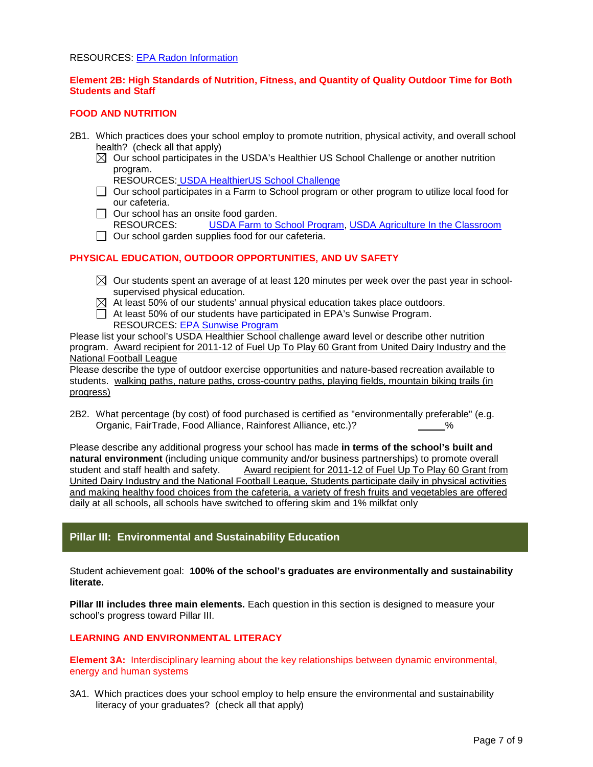#### RESOURCES: [EPA Radon Information](http://www.epa.gov/radon/index.html)

#### **Element 2B: High Standards of Nutrition, Fitness, and Quantity of Quality Outdoor Time for Both Students and Staff**

#### **FOOD AND NUTRITION**

- 2B1. Which practices does your school employ to promote nutrition, physical activity, and overall school health? (check all that apply)
	- $\boxtimes$  Our school participates in the USDA's Healthier US School Challenge or another nutrition program.

RESOURCES: [USDA HealthierUS School Challenge](http://www.fns.usda.gov/tn/healthierus/index.html)

- $\Box$  Our school participates in a Farm to School program or other program to utilize local food for our cafeteria.
- $\Box$  Our school has an onsite food garden.
- RESOURCES: [USDA Farm to School Program,](http://www.fns.usda.gov/cnd/F2S/Default.htm) [USDA Agriculture In the Classroom](http://www.agclassroom.org/index.cfm)
- $\Box$  Our school garden supplies food for our cafeteria.

#### **PHYSICAL EDUCATION, OUTDOOR OPPORTUNITIES, AND UV SAFETY**

- $\boxtimes$  Our students spent an average of at least 120 minutes per week over the past year in schoolsupervised physical education.
- $\boxtimes$  At least 50% of our students' annual physical education takes place outdoors.
- At least 50% of our students have participated in EPA's Sunwise Program. RESOURCES: [EPA Sunwise Program](http://www.epa.gov/sunwise)

Please list your school's USDA Healthier School challenge award level or describe other nutrition program. Award recipient for 2011-12 of Fuel Up To Play 60 Grant from United Dairy Industry and the National Football League

Please describe the type of outdoor exercise opportunities and nature-based recreation available to students. walking paths, nature paths, cross-country paths, playing fields, mountain biking trails (in progress)

2B2. What percentage (by cost) of food purchased is certified as "environmentally preferable" (e.g.<br>Organic, FairTrade, Food Alliance, Rainforest Alliance, etc.)? <sup>%</sup> Organic, FairTrade, Food Alliance, Rainforest Alliance, etc.)? %

Please describe any additional progress your school has made **in terms of the school's built and natural environment** (including unique community and/or business partnerships) to promote overall student and staff health and safety. Award recipient for 2011-12 of Fuel Up To Play 60 Grant from United Dairy Industry and the National Football League, Students participate daily in physical activities and making healthy food choices from the cafeteria, a variety of fresh fruits and vegetables are offered daily at all schools, all schools have switched to offering skim and 1% milkfat only

## **Pillar III: Environmental and Sustainability Education**

Student achievement goal: **100% of the school's graduates are environmentally and sustainability literate.**

**Pillar III includes three main elements.** Each question in this section is designed to measure your school's progress toward Pillar III.

#### **LEARNING AND ENVIRONMENTAL LITERACY**

**Element 3A:** Interdisciplinary learning about the key relationships between dynamic environmental, energy and human systems

3A1. Which practices does your school employ to help ensure the environmental and sustainability literacy of your graduates? (check all that apply)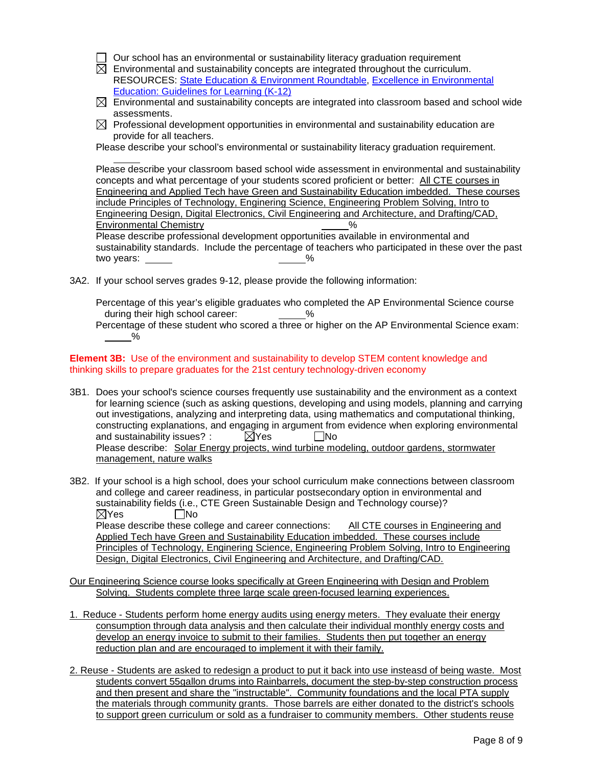- $\Box$  Our school has an environmental or sustainability literacy graduation requirement
- $\boxtimes$  Environmental and sustainability concepts are integrated throughout the curriculum. RESOURCES: [State Education & Environment Roundtable,](http://www.seer.org/) [Excellence in Environmental](http://eelinked.naaee.net/n/guidelines/topics/Excellence-in-EE-Guidelines-for-Learning-K-12)  [Education: Guidelines for Learning \(K-12\)](http://eelinked.naaee.net/n/guidelines/topics/Excellence-in-EE-Guidelines-for-Learning-K-12)
- $\boxtimes$  Environmental and sustainability concepts are integrated into classroom based and school wide assessments.
- $\boxtimes$  Professional development opportunities in environmental and sustainability education are provide for all teachers.

Please describe your school's environmental or sustainability literacy graduation requirement.

Please describe your classroom based school wide assessment in environmental and sustainability concepts and what percentage of your students scored proficient or better: All CTE courses in Engineering and Applied Tech have Green and Sustainability Education imbedded. These courses include Principles of Technology, Enginering Science, Engineering Problem Solving, Intro to Engineering Design, Digital Electronics, Civil Engineering and Architecture, and Drafting/CAD, Environmental Chemistry **Environmental** Chemistry **1999** 

Please describe professional development opportunities available in environmental and sustainability standards. Include the percentage of teachers who participated in these over the past two years:  $\frac{9}{6}$ 

3A2. If your school serves grades 9-12, please provide the following information:

Percentage of this year's eligible graduates who completed the AP Environmental Science course during their high school career:  $\%$ 

Percentage of these student who scored a three or higher on the AP Environmental Science exam: %

**Element 3B:** Use of the environment and sustainability to develop STEM content knowledge and thinking skills to prepare graduates for the 21st century technology-driven economy

- 3B1. Does your school's science courses frequently use sustainability and the environment as a context for learning science (such as asking questions, developing and using models, planning and carrying out investigations, analyzing and interpreting data, using mathematics and computational thinking, constructing explanations, and engaging in argument from evidence when exploring environmental<br>and sustainability issues? :  $\boxtimes$  Yes  $\Box$ No and sustainability issues? :  $\boxtimes$  Yes  $\Box$  No Please describe: Solar Energy projects, wind turbine modeling, outdoor gardens, stormwater management, nature walks
- 3B2. If your school is a high school, does your school curriculum make connections between classroom and college and career readiness, in particular postsecondary option in environmental and sustainability fields (i.e., CTE Green Sustainable Design and Technology course)?  $\boxtimes$ Yes  $\Box$ No Please describe these college and career connections: All CTE courses in Engineering and Applied Tech have Green and Sustainability Education imbedded. These courses include Principles of Technology, Enginering Science, Engineering Problem Solving, Intro to Engineering Design, Digital Electronics, Civil Engineering and Architecture, and Drafting/CAD.
- Our Engineering Science course looks specifically at Green Engineering with Design and Problem Solving. Students complete three large scale green-focused learning experiences.
- 1. Reduce Students perform home energy audits using energy meters. They evaluate their energy consumption through data analysis and then calculate their individual monthly energy costs and develop an energy invoice to submit to their families. Students then put together an energy reduction plan and are encouraged to implement it with their family.
- 2. Reuse Students are asked to redesign a product to put it back into use insteasd of being waste. Most students convert 55gallon drums into Rainbarrels, document the step-by-step construction process and then present and share the "instructable". Community foundations and the local PTA supply the materials through community grants. Those barrels are either donated to the district's schools to support green curriculum or sold as a fundraiser to community members. Other students reuse